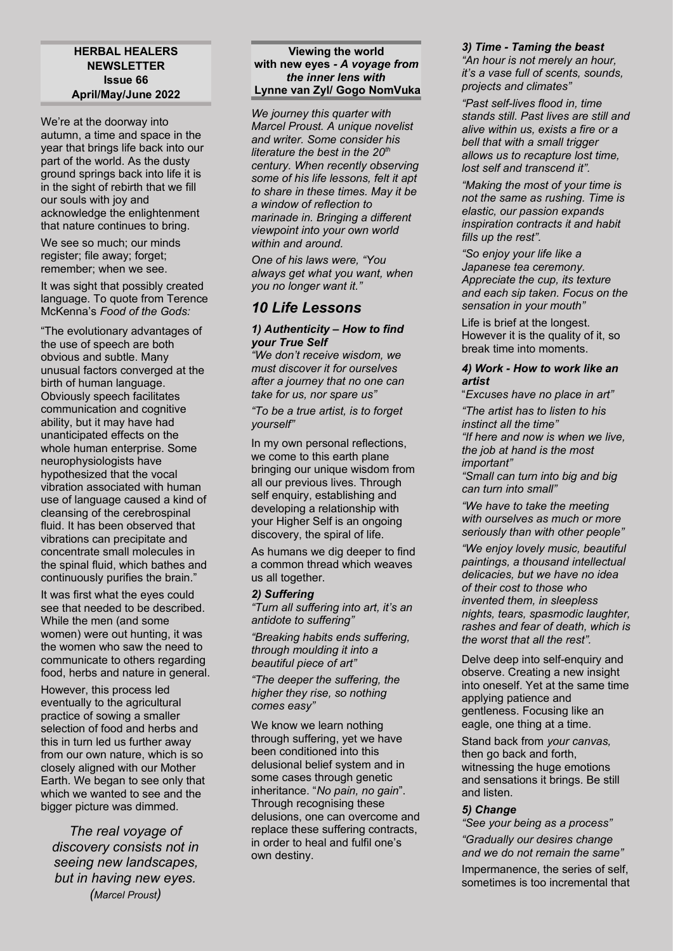#### **HERBAL HEALERS NEWSLETTER Issue 66 April/May/June 2022**

We're at the doorway into autumn, a time and space in the year that brings life back into our part of the world. As the dusty ground springs back into life it is in the sight of rebirth that we fill our souls with joy and acknowledge the enlightenment that nature continues to bring.

We see so much; our minds register; file away; forget; remember; when we see.

It was sight that possibly created language. To quote from Terence McKenna's *Food of the Gods:*

"The evolutionary advantages of the use of speech are both obvious and subtle. Many unusual factors converged at the birth of human language. Obviously speech facilitates communication and cognitive ability, but it may have had unanticipated effects on the whole human enterprise. Some neurophysiologists have hypothesized that the vocal vibration associated with human use of language caused a kind of cleansing of the cerebrospinal fluid. It has been observed that vibrations can precipitate and concentrate small molecules in the spinal fluid, which bathes and continuously purifies the brain."

It was first what the eyes could see that needed to be described. While the men (and some women) were out hunting, it was the women who saw the need to communicate to others regarding food, herbs and nature in general.

However, this process led eventually to the agricultural practice of sowing a smaller selection of food and herbs and this in turn led us further away from our own nature, which is so closely aligned with our Mother Earth. We began to see only that which we wanted to see and the bigger picture was dimmed.

*The real voyage of discovery consists not in seeing new landscapes, but in having new eyes. (Marcel Proust)*

#### **Viewing the world with new eyes** *- A voyage from the inner lens with* **Lynne van Zyl/ Gogo NomVuka**

*We journey this quarter with Marcel Proust. A unique novelist and writer. Some consider his literature the best in the 20th century. When recently observing some of his life lessons, felt it apt to share in these times. May it be a window of reflection to marinade in. Bringing a different viewpoint into your own world within and around.*

*One of his laws were, "You always get what you want, when you no longer want it."*

# *10 Life Lessons*

#### *1) Authenticity – How to find your True Self*

*"We don't receive wisdom, we must discover it for ourselves after a journey that no one can take for us, nor spare us"*

*"To be a true artist, is to forget yourself"*

In my own personal reflections, we come to this earth plane bringing our unique wisdom from all our previous lives. Through self enquiry, establishing and developing a relationship with your Higher Self is an ongoing discovery, the spiral of life.

As humans we dig deeper to find a common thread which weaves us all together.

#### *2) Suffering*

*"Turn all suffering into art, it's an antidote to suffering"*

*"Breaking habits ends suffering, through moulding it into a beautiful piece of art"*

*"The deeper the suffering, the higher they rise, so nothing comes easy"*

We know we learn nothing through suffering, yet we have been conditioned into this delusional belief system and in some cases through genetic inheritance. "*No pain, no gain*". Through recognising these delusions, one can overcome and replace these suffering contracts, in order to heal and fulfil one's own destiny.

# *3) Time - Taming the beast*

*"An hour is not merely an hour, it's a vase full of scents, sounds, projects and climates"*

*"Past self-lives flood in, time stands still. Past lives are still and alive within us, exists a fire or a bell that with a small trigger allows us to recapture lost time, lost self and transcend it".*

*"Making the most of your time is not the same as rushing. Time is elastic, our passion expands inspiration contracts it and habit fills up the rest".* 

*"So enjoy your life like a Japanese tea ceremony. Appreciate the cup, its texture and each sip taken. Focus on the sensation in your mouth"* 

Life is brief at the longest. However it is the quality of it, so break time into moments.

#### *4) Work - How to work like an artist*

"*Excuses have no place in art"*

*"The artist has to listen to his instinct all the time" "If here and now is when we live, the job at hand is the most important"*

*"Small can turn into big and big can turn into small"*

*"We have to take the meeting with ourselves as much or more seriously than with other people"* 

*"We enjoy lovely music, beautiful paintings, a thousand intellectual delicacies, but we have no idea of their cost to those who invented them, in sleepless nights, tears, spasmodic laughter, rashes and fear of death, which is the worst that all the rest".*

Delve deep into self-enquiry and observe. Creating a new insight into oneself. Yet at the same time applying patience and gentleness. Focusing like an eagle, one thing at a time.

Stand back from *your canvas,* then go back and forth, witnessing the huge emotions and sensations it brings. Be still and listen.

#### *5) Change*

*"See your being as a process"*

*"Gradually our desires change and we do not remain the same"*

Impermanence, the series of self, sometimes is too incremental that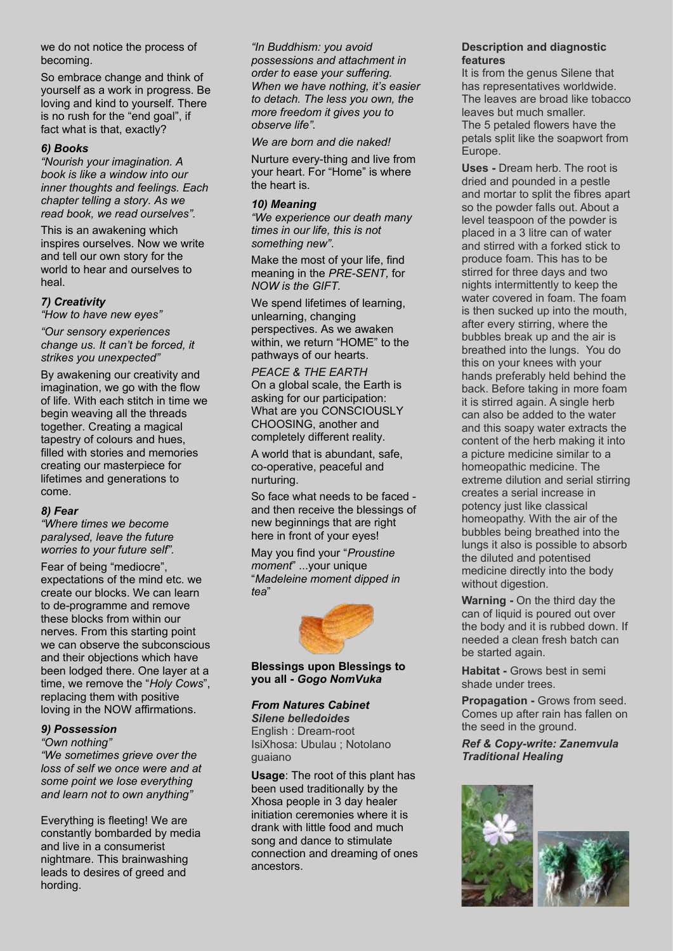we do not notice the process of becoming.

So embrace change and think of yourself as a work in progress. Be loving and kind to yourself. There is no rush for the "end goal", if fact what is that, exactly?

#### *6) Books*

*"Nourish your imagination. A book is like a window into our inner thoughts and feelings. Each chapter telling a story. As we read book, we read ourselves".* 

This is an awakening which inspires ourselves. Now we write and tell our own story for the world to hear and ourselves to heal.

# *7) Creativity*

*"How to have new eyes"*

*"Our sensory experiences change us. It can't be forced, it strikes you unexpected"*

By awakening our creativity and imagination, we go with the flow of life. With each stitch in time we begin weaving all the threads together. Creating a magical tapestry of colours and hues, filled with stories and memories creating our masterpiece for lifetimes and generations to come.

# *8) Fear*

*"Where times we become paralysed, leave the future worries to your future self".*

Fear of being "mediocre", expectations of the mind etc. we create our blocks. We can learn to de-programme and remove these blocks from within our nerves. From this starting point we can observe the subconscious and their objections which have been lodged there. One layer at a time, we remove the "*Holy Cows*", replacing them with positive loving in the NOW affirmations.

# *9) Possession*

*"Own nothing" "We sometimes grieve over the loss of self we once were and at some point we lose everything and learn not to own anything"*

Everything is fleeting! We are constantly bombarded by media and live in a consumerist nightmare. This brainwashing leads to desires of greed and hording.

*"In Buddhism: you avoid possessions and attachment in order to ease your suffering. When we have nothing, it's easier to detach. The less you own, the more freedom it gives you to observe life".*

*We are born and die naked!*

Nurture every-thing and live from your heart. For "Home" is where the heart is.

#### *10) Meaning*

*"We experience our death many times in our life, this is not something new"*.

Make the most of your life, find meaning in the *PRE-SENT,* for *NOW is the GIFT.*

We spend lifetimes of learning, unlearning, changing perspectives. As we awaken within, we return "HOME" to the pathways of our hearts.

*PEACE & THE EARTH* On a global scale, the Earth is asking for our participation: What are you CONSCIOUSLY CHOOSING, another and completely different reality.

A world that is abundant, safe, co-operative, peaceful and nurturing.

So face what needs to be faced and then receive the blessings of new beginnings that are right here in front of your eyes!

May you find your "*Proustine moment*" ...your unique "*Madeleine moment dipped in tea*"



#### **Blessings upon Blessings to you all -** *Gogo NomVuka*

#### *From Natures Cabinet*

*Silene belledoides* English : Dream-root IsiXhosa: Ubulau ; Notolano guaiano

**Usage**: The root of this plant has been used traditionally by the Xhosa people in 3 day healer initiation ceremonies where it is drank with little food and much song and dance to stimulate connection and dreaming of ones ancestors.

#### **Description and diagnostic features**

It is from the genus Silene that has representatives worldwide. The leaves are broad like tobacco leaves but much smaller. The 5 petaled flowers have the petals split like the soapwort from Europe.

**Uses -** Dream herb. The root is dried and pounded in a pestle and mortar to split the fibres apart so the powder falls out. About a level teaspoon of the powder is placed in a 3 litre can of water and stirred with a forked stick to produce foam. This has to be stirred for three days and two nights intermittently to keep the water covered in foam. The foam is then sucked up into the mouth, after every stirring, where the bubbles break up and the air is breathed into the lungs. You do this on your knees with your hands preferably held behind the back. Before taking in more foam it is stirred again. A single herb can also be added to the water and this soapy water extracts the content of the herb making it into a picture medicine similar to a homeopathic medicine. The extreme dilution and serial stirring creates a serial increase in potency just like classical homeopathy. With the air of the bubbles being breathed into the lungs it also is possible to absorb the diluted and potentised medicine directly into the body without digestion.

**Warning -** On the third day the can of liquid is poured out over the body and it is rubbed down. If needed a clean fresh batch can be started again.

**Habitat -** Grows best in semi shade under trees.

**Propagation - Grows from seed.** Comes up after rain has fallen on the seed in the ground.

*Ref & Copy-write: Zanemvula Traditional Healing*

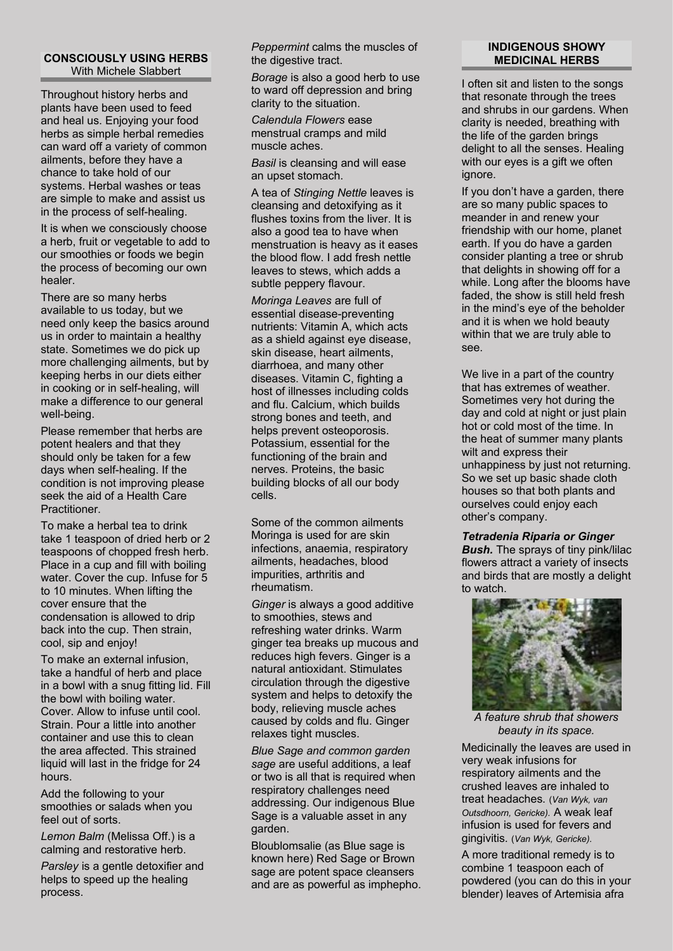#### **CONSCIOUSLY USING HERBS** With Michele Slabbert

Throughout history herbs and plants have been used to feed and heal us. Enjoying your food herbs as simple herbal remedies can ward off a variety of common ailments, before they have a chance to take hold of our systems. Herbal washes or teas are simple to make and assist us in the process of self-healing.

It is when we consciously choose a herb, fruit or vegetable to add to our smoothies or foods we begin the process of becoming our own healer.

There are so many herbs available to us today, but we need only keep the basics around us in order to maintain a healthy state. Sometimes we do pick up more challenging ailments, but by keeping herbs in our diets either in cooking or in self-healing, will make a difference to our general well-being.

Please remember that herbs are potent healers and that they should only be taken for a few days when self-healing. If the condition is not improving please seek the aid of a Health Care **Practitioner** 

To make a herbal tea to drink take 1 teaspoon of dried herb or 2 teaspoons of chopped fresh herb. Place in a cup and fill with boiling water. Cover the cup. Infuse for 5 to 10 minutes. When lifting the cover ensure that the condensation is allowed to drip back into the cup. Then strain, cool, sip and enjoy!

To make an external infusion, take a handful of herb and place in a bowl with a snug fitting lid. Fill the bowl with boiling water. Cover. Allow to infuse until cool. Strain. Pour a little into another container and use this to clean the area affected. This strained liquid will last in the fridge for 24 hours.

Add the following to your smoothies or salads when you feel out of sorts.

*Lemon Balm* (Melissa Off.) is a calming and restorative herb.

*Parsley* is a gentle detoxifier and helps to speed up the healing process.

*Peppermint* calms the muscles of the digestive tract.

*Borage* is also a good herb to use to ward off depression and bring clarity to the situation.

*Calendula Flowers* ease menstrual cramps and mild muscle aches.

*Basil* is cleansing and will ease an upset stomach.

A tea of *Stinging Nettle* leaves is cleansing and detoxifying as it flushes toxins from the liver. It is also a good tea to have when menstruation is heavy as it eases the blood flow. I add fresh nettle leaves to stews, which adds a subtle peppery flavour.

*Moringa Leaves* are full of essential disease-preventing nutrients: Vitamin A, which acts as a shield against eye disease, skin disease, heart ailments, diarrhoea, and many other diseases. Vitamin C, fighting a host of illnesses including colds and flu. Calcium, which builds strong bones and teeth, and helps prevent osteoporosis. Potassium, essential for the functioning of the brain and nerves. Proteins, the basic building blocks of all our body cells.

Some of the common ailments Moringa is used for are skin infections, anaemia, respiratory ailments, headaches, blood impurities, arthritis and rheumatism.

*Ginger* is always a good additive to smoothies, stews and refreshing water drinks. Warm ginger tea breaks up mucous and reduces high fevers. Ginger is a natural antioxidant. Stimulates circulation through the digestive system and helps to detoxify the body, relieving muscle aches caused by colds and flu. Ginger relaxes tight muscles.

*Blue Sage and common garden sage* are useful additions, a leaf or two is all that is required when respiratory challenges need addressing. Our indigenous Blue Sage is a valuable asset in any garden.

Bloublomsalie (as Blue sage is known here) Red Sage or Brown sage are potent space cleansers and are as powerful as imphepho.

#### **INDIGENOUS SHOWY MEDICINAL HERBS**

I often sit and listen to the songs that resonate through the trees and shrubs in our gardens. When clarity is needed, breathing with the life of the garden brings delight to all the senses. Healing with our eyes is a gift we often ignore.

If you don't have a garden, there are so many public spaces to meander in and renew your friendship with our home, planet earth. If you do have a garden consider planting a tree or shrub that delights in showing off for a while. Long after the blooms have faded, the show is still held fresh in the mind's eye of the beholder and it is when we hold beauty within that we are truly able to see.

We live in a part of the country that has extremes of weather. Sometimes very hot during the day and cold at night or just plain hot or cold most of the time. In the heat of summer many plants wilt and express their unhappiness by just not returning. So we set up basic shade cloth houses so that both plants and ourselves could enjoy each other's company.

# *Tetradenia Riparia or Ginger*

**Bush.** The sprays of tiny pink/lilac flowers attract a variety of insects and birds that are mostly a delight to watch.



*A feature shrub that showers beauty in its space.*

Medicinally the leaves are used in very weak infusions for respiratory ailments and the crushed leaves are inhaled to treat headaches. (*Van Wyk, van Outsdhoorn, Gericke).* A weak leaf infusion is used for fevers and gingivitis. (*Van Wyk, Gericke).*

A more traditional remedy is to combine 1 teaspoon each of powdered (you can do this in your blender) leaves of Artemisia afra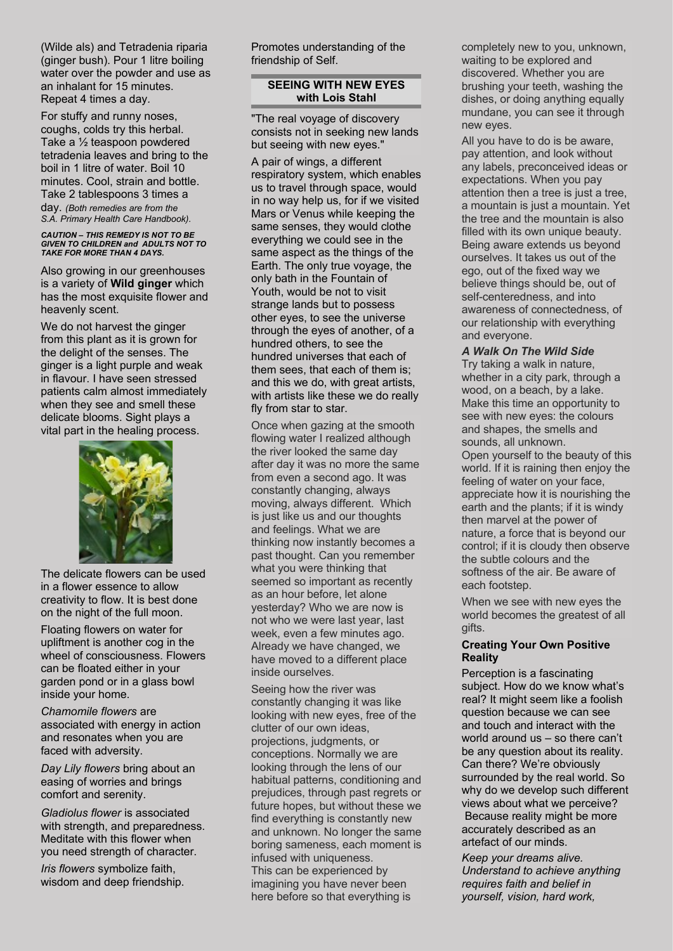(Wilde als) and Tetradenia riparia (ginger bush). Pour 1 litre boiling water over the powder and use as an inhalant for 15 minutes. Repeat 4 times a day*.*

For stuffy and runny noses, coughs, colds try this herbal. Take a ½ teaspoon powdered tetradenia leaves and bring to the boil in 1 litre of water. Boil 10 minutes. Cool, strain and bottle. Take 2 tablespoons 3 times a day. *(Both remedies are from the S.A. Primary Health Care Handbook).*

#### *CAUTION – THIS REMEDY IS NOT TO BE GIVEN TO CHILDREN and ADULTS NOT TO TAKE FOR MORE THAN 4 DAYS.*

Also growing in our greenhouses is a variety of **Wild ginger** which has the most exquisite flower and heavenly scent.

We do not harvest the ginger from this plant as it is grown for the delight of the senses. The ginger is a light purple and weak in flavour. I have seen stressed patients calm almost immediately when they see and smell these delicate blooms. Sight plays a vital part in the healing process.



The delicate flowers can be used in a flower essence to allow creativity to flow. It is best done on the night of the full moon.

Floating flowers on water for upliftment is another cog in the wheel of consciousness. Flowers can be floated either in your garden pond or in a glass bowl inside your home.

*Chamomile flowers* are associated with energy in action and resonates when you are faced with adversity.

*Day Lily flowers* bring about an easing of worries and brings comfort and serenity.

*Gladiolus flower* is associated with strength, and preparedness. Meditate with this flower when you need strength of character.

*Iris flowers* symbolize faith, wisdom and deep friendship. Promotes understanding of the friendship of Self.

# **SEEING WITH NEW EYES with Lois Stahl**

"The real voyage of discovery consists not in seeking new lands but seeing with new eyes."

A pair of wings, a different respiratory system, which enables us to travel through space, would in no way help us, for if we visited Mars or Venus while keeping the same senses, they would clothe everything we could see in the same aspect as the things of the Earth. The only true voyage, the only bath in the Fountain of Youth, would be not to visit strange lands but to possess other eyes, to see the universe through the eyes of another, of a hundred others, to see the hundred universes that each of them sees, that each of them is; and this we do, with great artists, with artists like these we do really fly from star to star.

Once when gazing at the smooth flowing water I realized although the river looked the same day after day it was no more the same from even a second ago. It was constantly changing, always moving, always different. Which is just like us and our thoughts and feelings. What we are thinking now instantly becomes a past thought. Can you remember what you were thinking that seemed so important as recently as an hour before, let alone yesterday? Who we are now is not who we were last year, last week, even a few minutes ago. Already we have changed, we have moved to a different place inside ourselves.

Seeing how the river was constantly changing it was like looking with new eyes, free of the clutter of our own ideas, projections, judgments, or conceptions. Normally we are looking through the lens of our habitual patterns, conditioning and prejudices, through past regrets or future hopes, but without these we find everything is constantly new and unknown. No longer the same boring sameness, each moment is infused with uniqueness. This can be experienced by imagining you have never been here before so that everything is

completely new to you, unknown, waiting to be explored and discovered. Whether you are brushing your teeth, washing the dishes, or doing anything equally mundane, you can see it through new eyes.

All you have to do is be aware, pay attention, and look without any labels, preconceived ideas or expectations. When you pay attention then a tree is just a tree. a mountain is just a mountain. Yet the tree and the mountain is also filled with its own unique beauty. Being aware extends us beyond ourselves. It takes us out of the ego, out of the fixed way we believe things should be, out of self-centeredness, and into awareness of connectedness, of our relationship with everything and everyone.

# *A Walk On The Wild Side*

Try taking a walk in nature, whether in a city park, through a wood, on a beach, by a lake. Make this time an opportunity to see with new eyes: the colours and shapes, the smells and sounds, all unknown. Open yourself to the beauty of this world. If it is raining then enjoy the feeling of water on your face, appreciate how it is nourishing the earth and the plants; if it is windy then marvel at the power of nature, a force that is beyond our control; if it is cloudy then observe the subtle colours and the softness of the air. Be aware of each footstep.

When we see with new eyes the world becomes the greatest of all gifts.

#### **Creating Your Own Positive Reality**

Perception is a fascinating subject. How do we know what's real? It might seem like a foolish question because we can see and touch and interact with the world around us – so there can't be any question about its reality. Can there? We're obviously surrounded by the real world. So why do we develop such different views about what we perceive? Because reality might be more accurately described as an artefact of our minds.

*Keep your dreams alive. Understand to achieve anything requires faith and belief in yourself, vision, hard work,*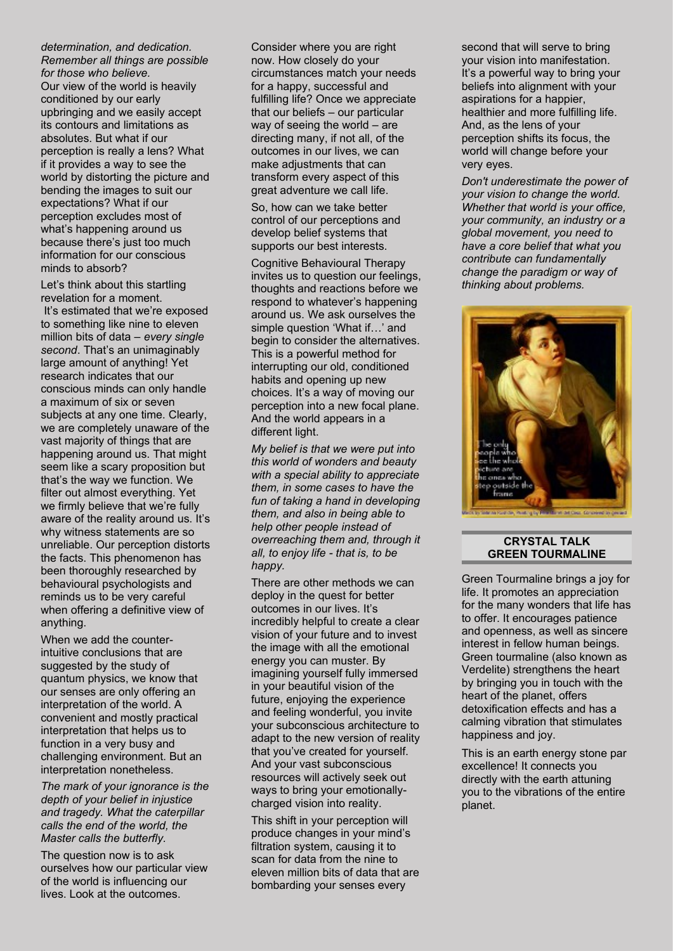#### *determination, and dedication. Remember all things are possible for those who believe.*

Our view of the world is heavily conditioned by our early upbringing and we easily accept its contours and limitations as absolutes. But what if our perception is really a lens? What if it provides a way to see the world by distorting the picture and bending the images to suit our expectations? What if our perception excludes most of what's happening around us because there's just too much information for our conscious minds to absorb?

Let's think about this startling revelation for a moment. It's estimated that we're exposed to something like nine to eleven million bits of data – *every single second*. That's an unimaginably large amount of anything! Yet research indicates that our conscious minds can only handle a maximum of six or seven subjects at any one time. Clearly, we are completely unaware of the vast majority of things that are happening around us. That might seem like a scary proposition but that's the way we function. We filter out almost everything. Yet we firmly believe that we're fully aware of the reality around us. It's why witness statements are so unreliable. Our perception distorts the facts. This phenomenon has been thoroughly researched by behavioural psychologists and reminds us to be very careful when offering a definitive view of anything.

When we add the counterintuitive conclusions that are suggested by the study of quantum physics, we know that our senses are only offering an interpretation of the world. A convenient and mostly practical interpretation that helps us to function in a very busy and challenging environment. But an interpretation nonetheless.

*The mark of your ignorance is the depth of your belief in injustice and tragedy. What the caterpillar calls the end of the world, the Master calls the butterfly.*

The question now is to ask ourselves how our particular view of the world is influencing our lives. Look at the outcomes.

Consider where you are right now. How closely do your circumstances match your needs for a happy, successful and fulfilling life? Once we appreciate that our beliefs – our particular way of seeing the world – are directing many, if not all, of the outcomes in our lives, we can make adjustments that can transform every aspect of this great adventure we call life.

So, how can we take better control of our perceptions and develop belief systems that supports our best interests.

Cognitive Behavioural Therapy invites us to question our feelings, thoughts and reactions before we respond to whatever's happening around us. We ask ourselves the simple question 'What if…' and begin to consider the alternatives. This is a powerful method for interrupting our old, conditioned habits and opening up new choices. It's a way of moving our perception into a new focal plane. And the world appears in a different light.

*My belief is that we were put into this world of wonders and beauty with a special ability to appreciate them, in some cases to have the fun of taking a hand in developing them, and also in being able to help other people instead of overreaching them and, through it all, to enjoy life - that is, to be happy.*

There are other methods we can deploy in the quest for better outcomes in our lives. It's incredibly helpful to create a clear vision of your future and to invest the image with all the emotional energy you can muster. By imagining yourself fully immersed in your beautiful vision of the future, enjoying the experience and feeling wonderful, you invite your subconscious architecture to adapt to the new version of reality that you've created for yourself. And your vast subconscious resources will actively seek out ways to bring your emotionallycharged vision into reality.

This shift in your perception will produce changes in your mind's filtration system, causing it to scan for data from the nine to eleven million bits of data that are bombarding your senses every

second that will serve to bring your vision into manifestation. It's a powerful way to bring your beliefs into alignment with your aspirations for a happier, healthier and more fulfilling life. And, as the lens of your perception shifts its focus, the world will change before your very eyes.

*Don't underestimate the power of your vision to change the world. Whether that world is your office, your community, an industry or a global movement, you need to have a core belief that what you contribute can fundamentally change the paradigm or way of thinking about problems.*



#### **CRYSTAL TALK GREEN TOURMALINE**

Green Tourmaline brings a joy for life. It promotes an appreciation for the many wonders that life has to offer. It encourages patience and openness, as well as sincere interest in fellow human beings. Green tourmaline (also known as Verdelite) strengthens the heart by bringing you in touch with the heart of the planet, offers detoxification effects and has a calming vibration that stimulates happiness and joy.

This is an earth energy stone par excellence! It connects you directly with the earth attuning you to the vibrations of the entire planet.